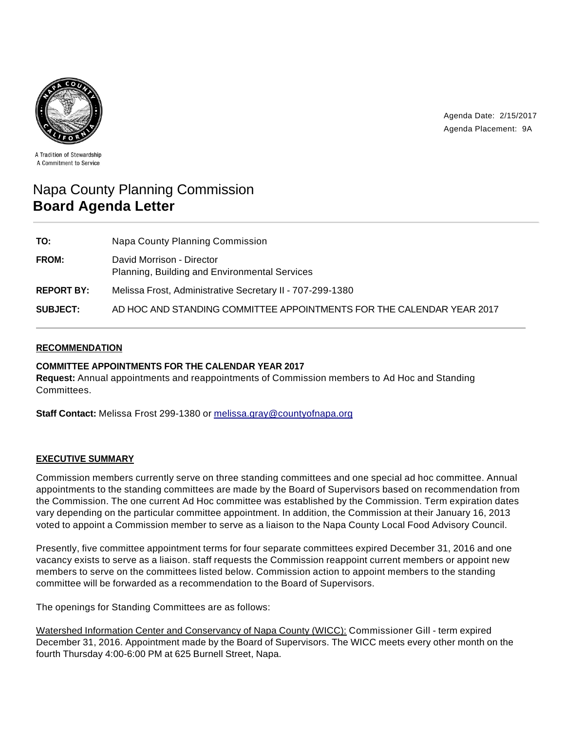

Agenda Date: 2/15/2017 Agenda Placement: 9A

A Tradition of Stewardship A Commitment to Service

# Napa County Planning Commission **Board Agenda Letter**

| TO:               | Napa County Planning Commission                                            |
|-------------------|----------------------------------------------------------------------------|
| FROM:             | David Morrison - Director<br>Planning, Building and Environmental Services |
| <b>REPORT BY:</b> | Melissa Frost, Administrative Secretary II - 707-299-1380                  |
| <b>SUBJECT:</b>   | AD HOC AND STANDING COMMITTEE APPOINTMENTS FOR THE CALENDAR YEAR 2017      |

## **RECOMMENDATION**

## **COMMITTEE APPOINTMENTS FOR THE CALENDAR YEAR 2017**

**Request:** Annual appointments and reappointments of Commission members to Ad Hoc and Standing Committees.

**Staff Contact:** Melissa Frost 299-1380 or melissa.gray@countyofnapa.org

### **EXECUTIVE SUMMARY**

Commission members currently serve on three standing committees and one special ad hoc committee. Annual appointments to the standing committees are made by the Board of Supervisors based on recommendation from the Commission. The one current Ad Hoc committee was established by the Commission. Term expiration dates vary depending on the particular committee appointment. In addition, the Commission at their January 16, 2013 voted to appoint a Commission member to serve as a liaison to the Napa County Local Food Advisory Council.

Presently, five committee appointment terms for four separate committees expired December 31, 2016 and one vacancy exists to serve as a liaison. staff requests the Commission reappoint current members or appoint new members to serve on the committees listed below. Commission action to appoint members to the standing committee will be forwarded as a recommendation to the Board of Supervisors.

The openings for Standing Committees are as follows:

Watershed Information Center and Conservancy of Napa County (WICC): Commissioner Gill - term expired December 31, 2016. Appointment made by the Board of Supervisors. The WICC meets every other month on the fourth Thursday 4:00-6:00 PM at 625 Burnell Street, Napa.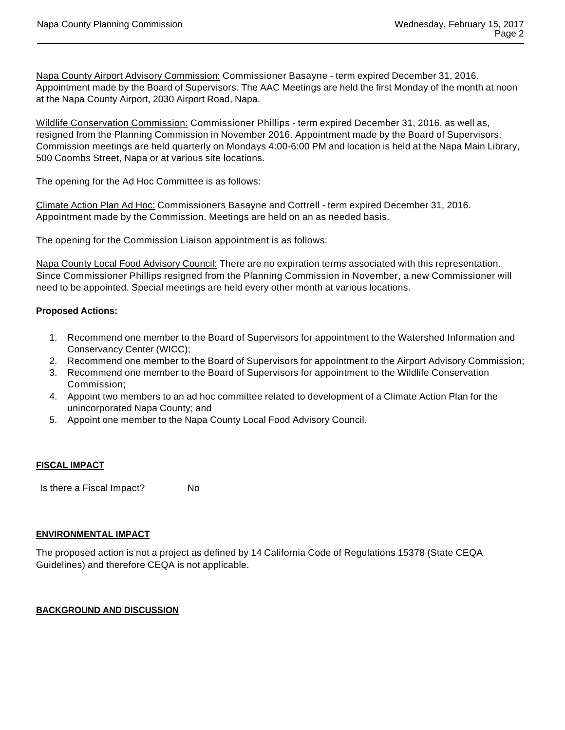Napa County Airport Advisory Commission: Commissioner Basayne - term expired December 31, 2016. Appointment made by the Board of Supervisors. The AAC Meetings are held the first Monday of the month at noon at the Napa County Airport, 2030 Airport Road, Napa.

Wildlife Conservation Commission: Commissioner Phillips - term expired December 31, 2016, as well as, resigned from the Planning Commission in November 2016. Appointment made by the Board of Supervisors. Commission meetings are held quarterly on Mondays 4:00-6:00 PM and location is held at the Napa Main Library, 500 Coombs Street, Napa or at various site locations.

The opening for the Ad Hoc Committee is as follows:

Climate Action Plan Ad Hoc: Commissioners Basayne and Cottrell - term expired December 31, 2016. Appointment made by the Commission. Meetings are held on an as needed basis.

The opening for the Commission Liaison appointment is as follows:

Napa County Local Food Advisory Council: There are no expiration terms associated with this representation. Since Commissioner Phillips resigned from the Planning Commission in November, a new Commissioner will need to be appointed. Special meetings are held every other month at various locations.

## **Proposed Actions:**

- 1. Recommend one member to the Board of Supervisors for appointment to the Watershed Information and Conservancy Center (WICC);
- 2. Recommend one member to the Board of Supervisors for appointment to the Airport Advisory Commission;
- 3. Recommend one member to the Board of Supervisors for appointment to the Wildlife Conservation Commission;
- 4. Appoint two members to an ad hoc committee related to development of a Climate Action Plan for the unincorporated Napa County; and
- 5. Appoint one member to the Napa County Local Food Advisory Council.

### **FISCAL IMPACT**

Is there a Fiscal Impact? No

### **ENVIRONMENTAL IMPACT**

The proposed action is not a project as defined by 14 California Code of Regulations 15378 (State CEQA Guidelines) and therefore CEQA is not applicable.

### **BACKGROUND AND DISCUSSION**